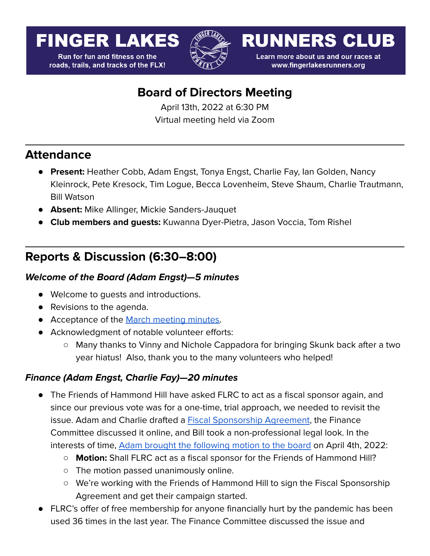# **FINGER LAKES**

**Run for fun and fitness on the** roads, trails, and tracks of the FLX!



**RUNNERS CLUB** 

Learn more about us and our races at www.fingerlakesrunners.org

# **Board of Directors Meeting**

April 13th, 2022 at 6:30 PM Virtual meeting held via Zoom

### **Attendance**

- **Present:** Heather Cobb, Adam Engst, Tonya Engst, Charlie Fay, Ian Golden, Nancy Kleinrock, Pete Kresock, Tim Logue, Becca Lovenheim, Steve Shaum, Charlie Trautmann, Bill Watson
- **Absent:** Mike Allinger, Mickie Sanders-Jauquet
- **Club members and guests:** Kuwanna Dyer-Pietra, Jason Voccia, Tom Rishel

# **Reports & Discussion (6:30–8:00)**

### **Welcome of the Board (Adam Engst)—5 minutes**

- Welcome to quests and introductions.
- Revisions to the agenda.
- Acceptance of the March [meeting](https://docs.google.com/document/d/1cVh3pczb9oPN3SY1LUGxjKktjL_rJd-VrNEefcVpPVk/edit?usp=sharing) minutes.
- Acknowledgment of notable volunteer efforts:
	- Many thanks to Vinny and Nichole Cappadora for bringing Skunk back after a two year hiatus! Also, thank you to the many volunteers who helped!

### **Finance (Adam Engst, Charlie Fay)—20 minutes**

- The Friends of Hammond Hill have asked FLRC to act as a fiscal sponsor again, and since our previous vote was for a one-time, trial approach, we needed to revisit the issue. Adam and Charlie drafted a **Fiscal [Sponsorship](https://docs.google.com/document/d/1Qn31ioWuipLEh-N7OoqcWjeUiVYKu5aiJ39ZoefFISA/edit?usp=sharing) Agreement**, the Finance Committee discussed it online, and Bill took a non-professional legal look. In the interests of time, Adam brought the [following](https://forum.fingerlakesrunners.org/t/board-vote-shall-flrc-act-as-a-fiscal-sponsor-for-the-friends-of-hammond-hill/3153) motion to the board on April 4th, 2022:
	- **Motion:** Shall FLRC act as a fiscal sponsor for the Friends of Hammond Hill?
	- The motion passed unanimously online.
	- We're working with the Friends of Hammond Hill to sign the Fiscal Sponsorship Agreement and get their campaign started.
- FLRC's offer of free membership for anyone financially hurt by the pandemic has been used 36 times in the last year. The Finance Committee discussed the issue and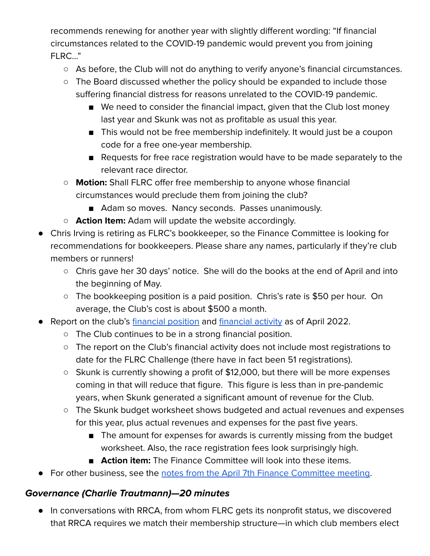recommends renewing for another year with slightly different wording: "If financial circumstances related to the COVID-19 pandemic would prevent you from joining FLRC…"

- As before, the Club will not do anything to verify anyone's financial circumstances.
- The Board discussed whether the policy should be expanded to include those suffering financial distress for reasons unrelated to the COVID-19 pandemic.
	- We need to consider the financial impact, given that the Club lost money last year and Skunk was not as profitable as usual this year.
	- This would not be free membership indefinitely. It would just be a coupon code for a free one-year membership.
	- Requests for free race registration would have to be made separately to the relevant race director.
- **Motion:** Shall FLRC offer free membership to anyone whose financial circumstances would preclude them from joining the club?
	- Adam so moves. Nancy seconds. Passes unanimously.
- **○ Action Item:** Adam will update the website accordingly.
- Chris Irving is retiring as FLRC's bookkeeper, so the Finance Committee is looking for recommendations for bookkeepers. Please share any names, particularly if they're club members or runners!
	- Chris gave her 30 days' notice. She will do the books at the end of April and into the beginning of May.
	- The bookkeeping position is a paid position. Chris's rate is \$50 per hour. On average, the Club's cost is about \$500 a month.
- Report on the club's [financial](https://docs.google.com/spreadsheets/d/1jGluPkPVXsUyJ9Hawy0VqX439d8vNc--vCnTBQ7MMK0/edit#gid=1313251547&range=A1:I1) position and financial activity as of April 2022.
	- The Club continues to be in a strong financial position.
	- The report on the Club's financial activity does not include most registrations to date for the FLRC Challenge (there have in fact been 51 registrations).
	- Skunk is currently showing a profit of \$12,000, but there will be more expenses coming in that will reduce that figure. This figure is less than in pre-pandemic years, when Skunk generated a significant amount of revenue for the Club.
	- The Skunk budget worksheet shows budgeted and actual revenues and expenses for this year, plus actual revenues and expenses for the past five years.
		- The amount for expenses for awards is currently missing from the budget worksheet. Also, the race registration fees look surprisingly high.
		- **Action item:** The Finance Committee will look into these items.
- For other business, see the notes from the April 7th Finance [Committee](https://forum.fingerlakesrunners.org/t/finance-committee-agenda-for-meeting-april-7-at-4-00pm/3154/3?u=adamengst) meeting.

## **Governance (Charlie Trautmann)—20 minutes**

● In conversations with RRCA, from whom FLRC gets its nonprofit status, we discovered that RRCA requires we match their membership structure—in which club members elect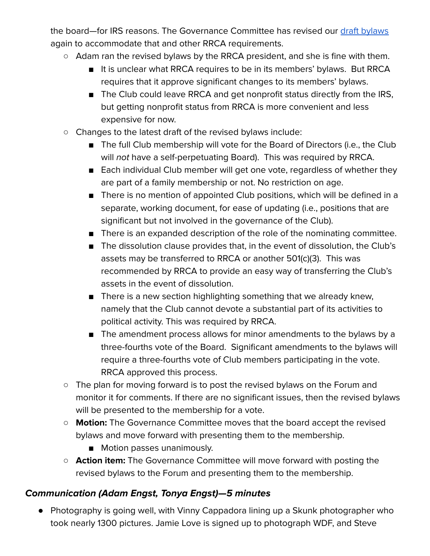the board—for IRS reasons. The Governance Committee has revised our draft [bylaws](https://docs.google.com/document/d/18Xcn8vH3aBMi84yyIYytDs-AN1uG1eT2fExzJOCWJYo/edit?usp=sharing) again to accommodate that and other RRCA requirements.

- Adam ran the revised bylaws by the RRCA president, and she is fine with them.
	- It is unclear what RRCA requires to be in its members' bylaws. But RRCA requires that it approve significant changes to its members' bylaws.
	- The Club could leave RRCA and get nonprofit status directly from the IRS, but getting nonprofit status from RRCA is more convenient and less expensive for now.
- Changes to the latest draft of the revised bylaws include:
	- The full Club membership will vote for the Board of Directors (i.e., the Club will not have a self-perpetuating Board). This was required by RRCA.
	- Each individual Club member will get one vote, regardless of whether they are part of a family membership or not. No restriction on age.
	- There is no mention of appointed Club positions, which will be defined in a separate, working document, for ease of updating (i.e., positions that are significant but not involved in the governance of the Club).
	- There is an expanded description of the role of the nominating committee.
	- The dissolution clause provides that, in the event of dissolution, the Club's assets may be transferred to RRCA or another 501(c)(3). This was recommended by RRCA to provide an easy way of transferring the Club's assets in the event of dissolution.
	- There is a new section highlighting something that we already knew, namely that the Club cannot devote a substantial part of its activities to political activity. This was required by RRCA.
	- The amendment process allows for minor amendments to the bylaws by a three-fourths vote of the Board. Significant amendments to the bylaws will require a three-fourths vote of Club members participating in the vote. RRCA approved this process.
- The plan for moving forward is to post the revised bylaws on the Forum and monitor it for comments. If there are no significant issues, then the revised bylaws will be presented to the membership for a vote.
- **Motion:** The Governance Committee moves that the board accept the revised bylaws and move forward with presenting them to the membership.
	- Motion passes unanimously.
- **○ Action item:** The Governance Committee will move forward with posting the revised bylaws to the Forum and presenting them to the membership.

### **Communication (Adam Engst, Tonya Engst)—5 minutes**

● Photography is going well, with Vinny Cappadora lining up a Skunk photographer who took nearly 1300 pictures. Jamie Love is signed up to photograph WDF, and Steve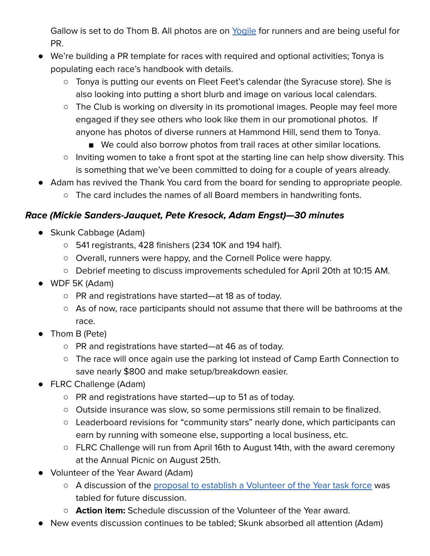Gallow is set to do Thom B. All photos are on [Yogile](https://www.yogile.com/342528/all) for runners and are being useful for PR.

- We're building a PR template for races with required and optional activities; Tonya is populating each race's handbook with details.
	- Tonya is putting our events on Fleet Feet's calendar (the Syracuse store). She is also looking into putting a short blurb and image on various local calendars.
	- The Club is working on diversity in its promotional images. People may feel more engaged if they see others who look like them in our promotional photos. If anyone has photos of diverse runners at Hammond Hill, send them to Tonya.
		- We could also borrow photos from trail races at other similar locations.
	- Inviting women to take a front spot at the starting line can help show diversity. This is something that we've been committed to doing for a couple of years already.
- Adam has revived the Thank You card from the board for sending to appropriate people.
	- The card includes the names of all Board members in handwriting fonts.

#### **Race (Mickie Sanders-Jauquet, Pete Kresock, Adam Engst)—30 minutes**

- Skunk Cabbage (Adam)
	- 541 registrants, 428 finishers (234 10K and 194 half).
	- Overall, runners were happy, and the Cornell Police were happy.
	- Debrief meeting to discuss improvements scheduled for April 20th at 10:15 AM.
- WDF 5K (Adam)
	- PR and registrations have started—at 18 as of today.
	- As of now, race participants should not assume that there will be bathrooms at the race.
- Thom B (Pete)
	- PR and registrations have started—at 46 as of today.
	- The race will once again use the parking lot instead of Camp Earth Connection to save nearly \$800 and make setup/breakdown easier.
- FLRC Challenge (Adam)
	- PR and registrations have started—up to 51 as of today.
	- Outside insurance was slow, so some permissions still remain to be finalized.
	- Leaderboard revisions for "community stars" nearly done, which participants can earn by running with someone else, supporting a local business, etc.
	- FLRC Challenge will run from April 16th to August 14th, with the award ceremony at the Annual Picnic on August 25th.
- Volunteer of the Year Award (Adam)
	- A discussion of the proposal to establish a [Volunteer](https://forum.fingerlakesrunners.org/t/thoughts-about-the-volunteer-of-the-year-award/3071?u=adamengst) of the Year task force was tabled for future discussion.
	- **○ Action item:** Schedule discussion of the Volunteer of the Year award.
- New events discussion continues to be tabled; Skunk absorbed all attention (Adam)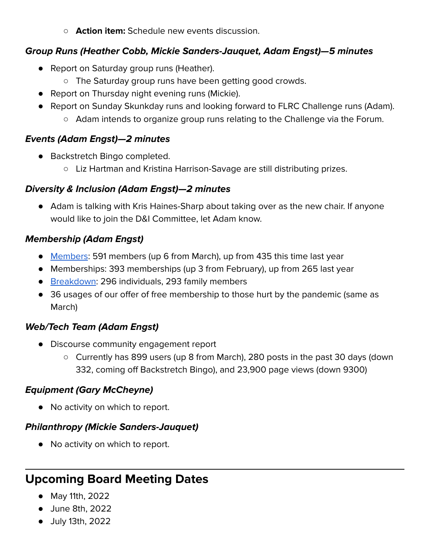**○ Action item:** Schedule new events discussion.

#### **Group Runs (Heather Cobb, Mickie Sanders-Jauquet, Adam Engst)—5 minutes**

- Report on Saturday group runs (Heather).
	- The Saturday group runs have been getting good crowds.
- Report on Thursday night evening runs (Mickie).
- Report on Sunday Skunkday runs and looking forward to FLRC Challenge runs (Adam).
	- Adam intends to organize group runs relating to the Challenge via the Forum.

#### **Events (Adam Engst)—2 minutes**

- Backstretch Bingo completed.
	- Liz Hartman and Kristina Harrison-Savage are still distributing prizes.

#### **Diversity & Inclusion (Adam Engst)—2 minutes**

● Adam is talking with Kris Haines-Sharp about taking over as the new chair. If anyone would like to join the D&I Committee, let Adam know.

#### **Membership (Adam Engst)**

- [Members](https://runsignup.com/Club/Dashboard/1044): 591 members (up 6 from March), up from 435 this time last year
- Memberships: 393 memberships (up 3 from February), up from 265 last year
- [Breakdown:](https://runsignup.com/Club/Members/Reports/1044) 296 individuals, 293 family members
- 36 usages of our offer of free membership to those hurt by the pandemic (same as March)

#### **Web/Tech Team (Adam Engst)**

- Discourse community engagement report
	- Currently has 899 users (up 8 from March), 280 posts in the past 30 days (down 332, coming off Backstretch Bingo), and 23,900 page views (down 9300)

#### **Equipment (Gary McCheyne)**

● No activity on which to report.

#### **Philanthropy (Mickie Sanders-Jauquet)**

● No activity on which to report.

# **Upcoming Board Meeting Dates**

- May 11th, 2022
- June 8th, 2022
- July 13th, 2022